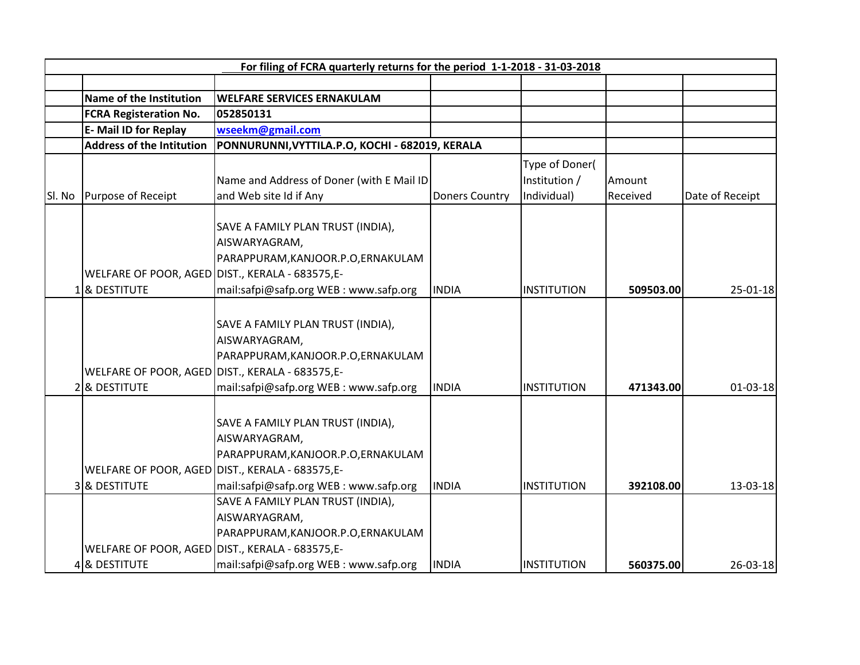| For filing of FCRA quarterly returns for the period 1-1-2018 - 31-03-2018 |                                                                                     |                                                                                                                                                                        |                       |                                                |                    |                 |  |  |  |
|---------------------------------------------------------------------------|-------------------------------------------------------------------------------------|------------------------------------------------------------------------------------------------------------------------------------------------------------------------|-----------------------|------------------------------------------------|--------------------|-----------------|--|--|--|
|                                                                           |                                                                                     |                                                                                                                                                                        |                       |                                                |                    |                 |  |  |  |
|                                                                           | Name of the Institution                                                             | <b>WELFARE SERVICES ERNAKULAM</b>                                                                                                                                      |                       |                                                |                    |                 |  |  |  |
|                                                                           | <b>FCRA Registeration No.</b>                                                       | 052850131                                                                                                                                                              |                       |                                                |                    |                 |  |  |  |
|                                                                           | E- Mail ID for Replay                                                               | wseekm@gmail.com                                                                                                                                                       |                       |                                                |                    |                 |  |  |  |
|                                                                           | <b>Address of the Intitution</b><br>PONNURUNNI, VYTTILA.P.O, KOCHI - 682019, KERALA |                                                                                                                                                                        |                       |                                                |                    |                 |  |  |  |
| SI. No                                                                    | Purpose of Receipt                                                                  | Name and Address of Doner (with E Mail ID<br>and Web site Id if Any                                                                                                    | <b>Doners Country</b> | Type of Doner(<br>Institution /<br>Individual) | Amount<br>Received | Date of Receipt |  |  |  |
|                                                                           | WELFARE OF POOR, AGED DIST., KERALA - 683575,E-<br>18 DESTITUTE                     | SAVE A FAMILY PLAN TRUST (INDIA),<br>AISWARYAGRAM,<br>PARAPPURAM, KANJOOR.P.O, ERNAKULAM<br>mail:safpi@safp.org WEB: www.safp.org                                      | <b>INDIA</b>          | <b>INSTITUTION</b>                             | 509503.00          | $25 - 01 - 18$  |  |  |  |
|                                                                           | WELFARE OF POOR, AGED DIST., KERALA - 683575,E-<br>2 & DESTITUTE                    | SAVE A FAMILY PLAN TRUST (INDIA),<br>AISWARYAGRAM,<br>PARAPPURAM, KANJOOR.P.O, ERNAKULAM<br>mail:safpi@safp.org WEB: www.safp.org                                      | <b>INDIA</b>          | <b>INSTITUTION</b>                             | 471343.00          | $01 - 03 - 18$  |  |  |  |
|                                                                           | WELFARE OF POOR, AGED DIST., KERALA - 683575,E-<br>3 & DESTITUTE                    | SAVE A FAMILY PLAN TRUST (INDIA),<br>AISWARYAGRAM,<br>PARAPPURAM, KANJOOR.P.O, ERNAKULAM<br>mail:safpi@safp.org WEB: www.safp.org<br>SAVE A FAMILY PLAN TRUST (INDIA), | <b>INDIA</b>          | <b>INSTITUTION</b>                             | 392108.00          | $13 - 03 - 18$  |  |  |  |
|                                                                           | WELFARE OF POOR, AGED DIST., KERALA - 683575,E-<br>4 & DESTITUTE                    | AISWARYAGRAM,<br>PARAPPURAM, KANJOOR.P.O, ERNAKULAM<br>mail:safpi@safp.org WEB: www.safp.org                                                                           | <b>INDIA</b>          | INSTITUTION                                    | 560375.00          | $26 - 03 - 18$  |  |  |  |